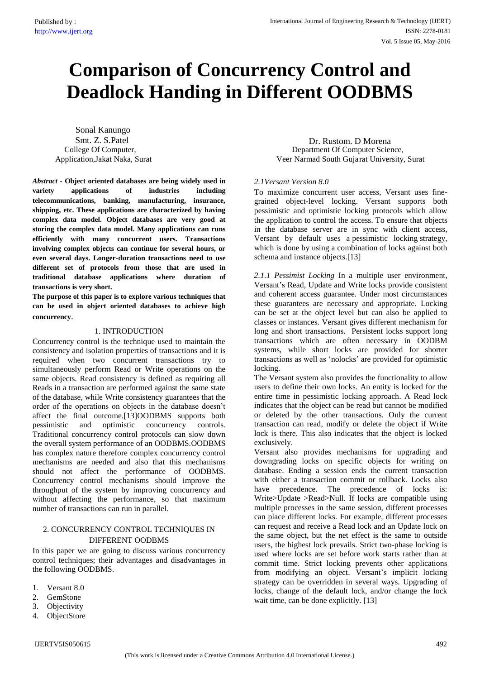# **Comparison of Concurrency Control and Deadlock Handing in Different OODBMS**

Sonal Kanungo Application, Jakat Naka, Surat College Of Computer,

*Abstract -* **Object oriented databases are being widely used in variety applications of industries including telecommunications, banking, manufacturing, insurance, shipping, etc. These applications are characterized by having complex data model. Object databases are very good at storing the complex data model. Many applications can runs efficiently with many concurrent users. Transactions involving complex objects can continue for several hours, or even several days. Longer-duration transactions need to use different set of protocols from those that are used in traditional database applications where duration of transactions is very short.**

**The purpose of this paper is to explore various techniques that can be used in object oriented databases to achieve high concurrency**.

### 1. INTRODUCTION

Concurrency control is the technique used to maintain the consistency and isolation properties of transactions and it is required when two concurrent transactions try to simultaneously perform Read or Write operations on the same objects. Read consistency is defined as requiring all Reads in a transaction are performed against the same state of the database, while Write consistency guarantees that the order of the operations on objects in the database doesn't affect the final outcome.[13]OODBMS supports both pessimistic and optimistic concurrency controls. Traditional concurrency control protocols can slow down the overall system performance of an OODBMS.OODBMS has complex nature therefore complex concurrency control mechanisms are needed and also that this mechanisms should not affect the performance of OODBMS. Concurrency control mechanisms should improve the throughput of the system by improving concurrency and without affecting the performance, so that maximum number of transactions can run in parallel.

## 2. CONCURRENCY CONTROL TECHNIQUES IN DIFFERENT OODBMS

In this paper we are going to discuss various concurrency control techniques; their advantages and disadvantages in the following OODBMS.

- 1. Versant 8.0
- 2. GemStone
- 3. Objectivity
- 4. ObjectStore

Smt. Z. S.Patel Dr. Rustom. D Morena Department Of Computer Science, Veer Narmad South Gujarat University, Surat

## *2.1Versant Version 8.0*

To maximize concurrent user access, Versant uses finegrained object-level locking. Versant supports both pessimistic and optimistic locking protocols which allow the application to control the access. To ensure that objects in the database server are in sync with client access, Versant by default uses a pessimistic locking strategy, which is done by using a combination of locks against both schema and instance objects.[13]

*2.1.1 Pessimist Locking* In a multiple user environment, Versant's Read, Update and Write locks provide consistent and coherent access guarantee. Under most circumstances these guarantees are necessary and appropriate. Locking can be set at the object level but can also be applied to classes or instances. Versant gives different mechanism for long and short transactions. Persistent locks support long transactions which are often necessary in OODBM systems, while short locks are provided for shorter transactions as well as 'nolocks' are provided for optimistic locking.

The Versant system also provides the functionality to allow users to define their own locks. An entity is locked for the entire time in pessimistic locking approach. A Read lock indicates that the object can be read but cannot be modified or deleted by the other transactions. Only the current transaction can read, modify or delete the object if Write lock is there. This also indicates that the object is locked exclusively.

Versant also provides mechanisms for upgrading and downgrading locks on specific objects for writing on database. Ending a session ends the current transaction with either a transaction commit or rollback. Locks also have precedence. The precedence of locks is: Write>Update >Read>Null. If locks are compatible using multiple processes in the same session, different processes can place different locks. For example, different processes can request and receive a Read lock and an Update lock on the same object, but the net effect is the same to outside users, the highest lock prevails. Strict two-phase locking is used where locks are set before work starts rather than at commit time. Strict locking prevents other applications from modifying an object. Versant's implicit locking strategy can be overridden in several ways. Upgrading of locks, change of the default lock, and/or change the lock wait time, can be done explicitly. [13]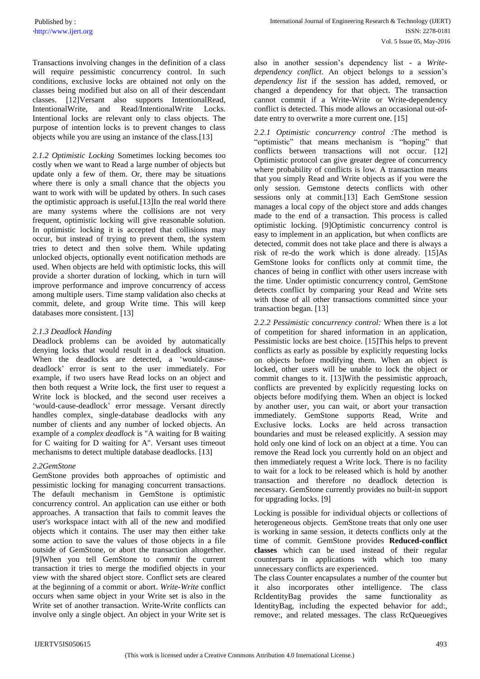` http://www.ijert.org ISSN: 2278-0181 Vol. 5 Issue 05, May-2016 International Journal of Engineering Research & Technology (IJERT)

Transactions involving changes in the definition of a class will require pessimistic concurrency control. In such conditions, exclusive locks are obtained not only on the classes being modified but also on all of their descendant classes. [12]Versant also supports IntentionalRead, IntentionalWrite, and Read/IntentionalWrite Locks. Intentional locks are relevant only to class objects. The purpose of intention locks is to prevent changes to class objects while you are using an instance of the class.[13]

*2.1.2 Optimistic Locking* Sometimes locking becomes too costly when we want to Read a large number of objects but update only a few of them. Or, there may be situations where there is only a small chance that the objects you want to work with will be updated by others. In such cases the optimistic approach is useful.[13]In the real world there are many systems where the collisions are not very frequent, optimistic locking will give reasonable solution. In optimistic locking it is accepted that collisions may occur, but instead of trying to prevent them, the system tries to detect and then solve them. While updating unlocked objects, optionally event notification methods are used. When objects are held with optimistic locks, this will provide a shorter duration of locking, which in turn will improve performance and improve concurrency of access among multiple users. Time stamp validation also checks at commit, delete, and group Write time. This will keep databases more consistent. [13]

## *2.1.3 Deadlock Handing*

Deadlock problems can be avoided by automatically denying locks that would result in a deadlock situation. When the deadlocks are detected, a 'would-causedeadlock' error is sent to the user immediately. For example, if two users have Read locks on an object and then both request a Write lock, the first user to request a Write lock is blocked, and the second user receives a 'would-cause-deadlock' error message. Versant directly handles complex, single-database deadlocks with any number of clients and any number of locked objects. An example of a *complex deadlock* is "A waiting for B waiting for C waiting for D waiting for A". Versant uses timeout mechanisms to detect multiple database deadlocks. [13]

## *2.2GemStone*

GemStone provides both approaches of optimistic and pessimistic locking for managing concurrent transactions. The default mechanism in GemStone is optimistic concurrency control. An application can use either or both approaches. A transaction that fails to commit leaves the user's workspace intact with all of the new and modified objects which it contains. The user may then either take some action to save the values of those objects in a file outside of GemStone, or abort the transaction altogether. [9]When you tell GemStone to *commit* the current transaction it tries to merge the modified objects in your view with the shared object store. Conflict sets are cleared at the beginning of a commit or abort. *Write-Write* conflict occurs when same object in your Write set is also in the Write set of another transaction. Write-Write conflicts can involve only a single object. An object in your Write set is also in another session's dependency list - a *Writedependency conflict*. An object belongs to a session's *dependency list* if the session has added, removed, or changed a dependency for that object. The transaction cannot commit if a Write-Write or Write-dependency conflict is detected. This mode allows an occasional out-ofdate entry to overwrite a more current one. [15]

*2.2.1 Optimistic concurrency control :*The method is "optimistic" that means mechanism is "hoping" that conflicts between transactions will not occur. [12] Optimistic protocol can give greater degree of concurrency where probability of conflicts is low. A transaction means that you simply Read and Write objects as if you were the only session. Gemstone detects conflicts with other sessions only at commit.[13] Each GemStone session manages a local copy of the object store and adds changes made to the end of a transaction. This process is called optimistic locking. [9]Optimistic concurrency control is easy to implement in an application, but when conflicts are detected, commit does not take place and there is always a risk of re-do the work which is done already. [15]As GemStone looks for conflicts only at commit time, the chances of being in conflict with other users increase with the time. Under optimistic concurrency control, GemStone detects conflict by comparing your Read and Write sets with those of all other transactions committed since your transaction began. [13]

*2.2.2 Pessimistic concurrency control:* When there is a lot of competition for shared information in an application, Pessimistic locks are best choice. [15]This helps to prevent conflicts as early as possible by explicitly requesting locks on objects before modifying them. When an object is locked, other users will be unable to lock the object or commit changes to it. [13]With the pessimistic approach, conflicts are prevented by explicitly requesting locks on objects before modifying them. When an object is locked by another user, you can wait, or abort your transaction immediately. GemStone supports Read, Write and Exclusive locks. Locks are held across transaction boundaries and must be released explicitly. A session may hold only one kind of lock on an object at a time. You can remove the Read lock you currently hold on an object and then immediately request a Write lock. There is no facility to wait for a lock to be released which is hold by another transaction and therefore no deadlock detection is necessary. GemStone currently provides no built-in support for upgrading locks. [9]

Locking is possible for individual objects or collections of heterogeneous objects. GemStone treats that only one user is working in same session, it detects conflicts only at the time of commit. GemStone provides **Reduced-conflict classes** which can be used instead of their regular counterparts in applications with which too many unnecessary conflicts are experienced.

The class Counter encapsulates a number of the counter but it also incorporates other intelligence. The class RcIdentityBag provides the same functionality as IdentityBag, including the expected behavior for add:, remove:, and related messages. The class RcQueuegives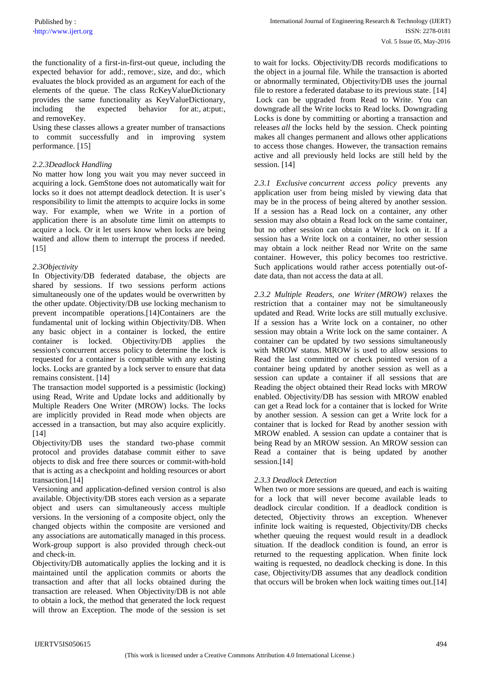the functionality of a first-in-first-out queue, including the expected behavior for add:, remove:, size, and do:, which evaluates the block provided as an argument for each of the elements of the queue. The class RcKeyValueDictionary provides the same functionality as KeyValueDictionary, including the expected behavior for at:, at:put:, and removeKey.

Using these classes allows a greater number of transactions to commit successfully and in improving system performance. [15]

## *2.2.3Deadlock Handling*

No matter how long you wait you may never succeed in acquiring a lock. GemStone does not automatically wait for locks so it does not attempt deadlock detection. It is user's responsibility to limit the attempts to acquire locks in some way. For example, when we Write in a portion of application there is an absolute time limit on attempts to acquire a lock. Or it let users know when locks are being waited and allow them to interrupt the process if needed. [15]

### *2.3Objectivity*

In Objectivity/DB federated database, the objects are shared by sessions. If two sessions perform actions simultaneously one of the updates would be overwritten by the other update. Objectivity/DB use locking mechanism to prevent incompatible operations.[14]Containers are the fundamental unit of locking within Objectivity/DB. When any basic object in a container is locked, the entire container is locked. Objectivity/DB applies the session's concurrent access policy to determine the lock is requested for a container is compatible with any existing locks. Locks are granted by a lock server to ensure that data remains consistent. [14]

The transaction model supported is a pessimistic (locking) using Read, Write and Update locks and additionally by Multiple Readers One Writer (MROW) locks. The locks are implicitly provided in Read mode when objects are accessed in a transaction, but may also acquire explicitly. [14]

Objectivity/DB uses the standard two-phase commit protocol and provides database commit either to save objects to disk and free there sources or commit-with-hold that is acting as a checkpoint and holding resources or abort transaction.[14]

Versioning and application-defined version control is also available. Objectivity/DB stores each version as a separate object and users can simultaneously access multiple versions. In the versioning of a composite object, only the changed objects within the composite are versioned and any associations are automatically managed in this process. Work-group support is also provided through check-out and check-in.

Objectivity/DB automatically applies the locking and it is maintained until the application commits or aborts the transaction and after that all locks obtained during the transaction are released. When Objectivity/DB is not able to obtain a lock, the method that generated the lock request will throw an Exception. The mode of the session is set

to wait for locks. Objectivity/DB records modifications to the object in a journal file. While the transaction is aborted or abnormally terminated, Objectivity/DB uses the journal file to restore a federated database to its previous state. [14] Lock can be upgraded from Read to Write. You can downgrade all the Write locks to Read locks. Downgrading Locks is done by committing or aborting a transaction and releases *all* the locks held by the session. Check pointing makes all changes permanent and allows other applications to access those changes. However, the transaction remains active and all previously held locks are still held by the session. [14]

*2.3.1 Exclusive concurrent access policy* prevents any application user from being misled by viewing data that may be in the process of being altered by another session. If a session has a Read lock on a container, any other session may also obtain a Read lock on the same container, but no other session can obtain a Write lock on it. If a session has a Write lock on a container, no other session may obtain a lock neither Read nor Write on the same container. However, this policy becomes too restrictive. Such applications would rather access potentially out-ofdate data, than not access the data at all.

*2.3.2 Multiple Readers, one Writer (MROW)* relaxes the restriction that a container may not be simultaneously updated and Read. Write locks are still mutually exclusive. If a session has a Write lock on a container, no other session may obtain a Write lock on the same container. A container can be updated by two sessions simultaneously with MROW status. MROW is used to allow sessions to Read the last committed or check pointed version of a container being updated by another session as well as a session can update a container if all sessions that are Reading the object obtained their Read locks with MROW enabled. Objectivity/DB has session with MROW enabled can get a Read lock for a container that is locked for Write by another session. A session can get a Write lock for a container that is locked for Read by another session with MROW enabled. A session can update a container that is being Read by an MROW session. An MROW session can Read a container that is being updated by another session.<sup>[14]</sup>

## *2.3.3 Deadlock Detection*

When two or more sessions are queued, and each is waiting for a lock that will never become available leads to deadlock circular condition. If a deadlock condition is detected, Objectivity throws an exception. Whenever infinite lock waiting is requested, Objectivity/DB checks whether queuing the request would result in a deadlock situation. If the deadlock condition is found, an error is returned to the requesting application. When finite lock waiting is requested, no deadlock checking is done. In this case, Objectivity/DB assumes that any deadlock condition that occurs will be broken when lock waiting times out.[14]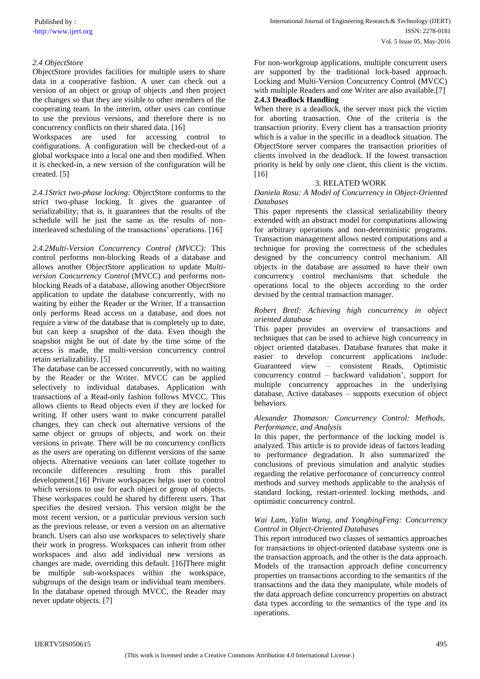## *2.4 ObjectStore*

ObjectStore provides facilities for multiple users to share data in a cooperative fashion. A user can check out a version of an object or group of objects ,and then project the changes so that they are visible to other members of the cooperating team. In the interim, other users can continue to use the previous versions, and therefore there is no concurrency conflicts on their shared data. [16]

Workspaces are used for accessing control to configurations. A configuration will be checked-out of a global workspace into a local one and then modified. When it is checked-in, a new version of the configuration will be created. [5]

*2.4.1Strict two-phase locking:* ObjectStore conforms to the strict two-phase locking. It gives the guarantee of serializability; that is, it guarantees that the results of the schedule will be just the same as the results of noninterleaved scheduling of the transactions' operations. [16]

*2.4.2Multi-Version Concurrency Control (MVCC):* This control performs non-blocking Reads of a database and allows another ObjectStore application to update M*ultiversion Concurrency Control* (MVCC) and performs nonblocking Reads of a database, allowing another ObjectStore application to update the database concurrently, with no waiting by either the Reader or the Writer. If a transaction only performs Read access on a database, and does not require a view of the database that is completely up to date, but can keep a snapshot of the data. Even though the snapshot might be out of date by the time some of the access is made, the multi-version concurrency control retain serializability. [5]

The database can be accessed concurrently, with no waiting by the Reader or the Writer. MVCC can be applied selectively to individual databases. Application with transactions of a Read-only fashion follows MVCC. This allows clients to Read objects even if they are locked for writing. If other users want to make concurrent parallel changes, they can check out alternative versions of the same object or groups of objects, and work on their versions in private. There will be no concurrency conflicts as the users are operating on different versions of the same objects. Alternative versions can later collate together to reconcile differences resulting from this parallel development.[16] Private workspaces helps user to control which versions to use for each object or group of objects. These workspaces could be shared by different users. That specifies the desired version. This version might be the most recent version, or a particular previous version such as the previous release, or even a version on an alternative branch. Users can also use workspaces to selectively share their work in progress. Workspaces can inherit from other workspaces and also add individual new versions as changes are made, overriding this default. [16]There might be multiple sub-workspaces within the workspace, subgroups of the design team or individual team members. In the database opened through MVCC, the Reader may never update objects. [7]

For non-workgroup applications, multiple concurrent users are supported by the traditional lock-based approach. Locking and Multi-Version Concurrency Control (MVCC) with multiple Readers and one Writer are also available.<sup>[7]</sup> **2.4.3 Deadlock Handling**

When there is a deadlock, the server must pick the victim for aborting transaction. One of the criteria is the transaction priority. Every client has a transaction priority which is a value in the specific in a deadlock situation. The ObjectStore server compares the transaction priorities of clients involved in the deadlock. If the lowest transaction priority is held by only one client, this client is the victim. [16]

### 3. RELATED WORK

*Daniela Rosu: A Model of Concurrency in Object-Oriented Databases*

This paper represents the classical serializability theory extended with an abstract model for computations allowing for arbitrary operations and non-deterministic programs. Transaction management allows nested computations and a technique for proving the correctness of the schedules designed by the concurrency control mechanism. All objects in the database are assumed to have their own concurrency control mechanisms that schedule the operations local to the objects according to the order devised by the central transaction manager.

### *Robert Bretl: Achieving high concurrency in object oriented database*

This paper provides an overview of transactions and techniques that can be used to achieve high concurrency in object oriented databases. Database features that make it easier to develop concurrent applications include: Guaranteed view – consistent Reads, Optimistic concurrency control – backward validation', support for multiple concurrency approaches in the underlying database, Active databases – supports execution of object behaviors.

### *Alexander Thomason: Concurrency Control: Methods, Performance, and Analysis*

In this paper, the performance of the locking model is analyzed. This article is to provide ideas of factors leading to performance degradation. It also summarized the conclusions of previous simulation and analytic studies regarding the relative performance of concurrency control methods and survey methods applicable to the analysis of standard locking, restart-oriented locking methods, and optimistic concurrency control.

## *Wai Lam, Yalin Wang, and YongbingFeng: Concurrency Control in Object-Oriented Databases*

This report introduced two classes of semantics approaches for transactions in object-oriented database systems one is the transaction approach, and the other is the data approach. Models of the transaction approach define concurrency properties on transactions according to the semantics of the transactions and the data they manipulate, while models of the data approach define concurrency properties on abstract data types according to the semantics of the type and its operations.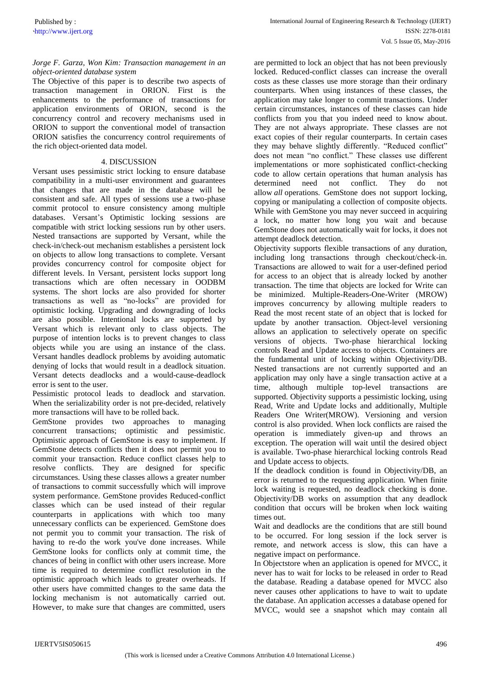### *Jorge F. Garza, Won Kim: Transaction management in an object-oriented database system*

The Objective of this paper is to describe two aspects of transaction management in ORION. First is the enhancements to the performance of transactions for application environments of ORION, second is the concurrency control and recovery mechanisms used in ORION to support the conventional model of transaction ORION satisfies the concurrency control requirements of the rich object-oriented data model.

## 4. DISCUSSION

Versant uses pessimistic strict locking to ensure database compatibility in a multi-user environment and guarantees that changes that are made in the database will be consistent and safe. All types of sessions use a two-phase commit protocol to ensure consistency among multiple databases. Versant's Optimistic locking sessions are compatible with strict locking sessions run by other users. Nested transactions are supported by Versant, while the check-in/check-out mechanism establishes a persistent lock on objects to allow long transactions to complete. Versant provides concurrency control for composite object for different levels. In Versant, persistent locks support long transactions which are often necessary in OODBM systems. The short locks are also provided for shorter transactions as well as "no-locks" are provided for optimistic locking. Upgrading and downgrading of locks are also possible. Intentional locks are supported by Versant which is relevant only to class objects. The purpose of intention locks is to prevent changes to class objects while you are using an instance of the class. Versant handles deadlock problems by avoiding automatic denying of locks that would result in a deadlock situation. Versant detects deadlocks and a would-cause-deadlock error is sent to the user.

Pessimistic protocol leads to deadlock and starvation. When the serializability order is not pre-decided, relatively more transactions will have to be rolled back.

GemStone provides two approaches to managing concurrent transactions; optimistic and pessimistic. Optimistic approach of GemStone is easy to implement. If GemStone detects conflicts then it does not permit you to commit your transaction. Reduce conflict classes help to resolve conflicts. They are designed for specific circumstances. Using these classes allows a greater number of transactions to commit successfully which will improve system performance. GemStone provides Reduced-conflict classes which can be used instead of their regular counterparts in applications with which too many unnecessary conflicts can be experienced. GemStone does not permit you to commit your transaction. The risk of having to re-do the work you've done increases. While GemStone looks for conflicts only at commit time, the chances of being in conflict with other users increase. More time is required to determine conflict resolution in the optimistic approach which leads to greater overheads. If other users have committed changes to the same data the locking mechanism is not automatically carried out. However, to make sure that changes are committed, users

are permitted to lock an object that has not been previously locked. Reduced-conflict classes can increase the overall costs as these classes use more storage than their ordinary counterparts. When using instances of these classes, the application may take longer to commit transactions. Under certain circumstances, instances of these classes can hide conflicts from you that you indeed need to know about. They are not always appropriate. These classes are not exact copies of their regular counterparts. In certain cases they may behave slightly differently. "Reduced conflict" does not mean "no conflict." These classes use different implementations or more sophisticated conflict-checking code to allow certain operations that human analysis has determined need not conflict. They do not allow *all* operations. GemStone does not support locking, copying or manipulating a collection of composite objects. While with GemStone you may never succeed in acquiring a lock, no matter how long you wait and because GemStone does not automatically wait for locks, it does not attempt deadlock detection.

Objectivity supports flexible transactions of any duration, including long transactions through checkout/check-in. Transactions are allowed to wait for a user-defined period for access to an object that is already locked by another transaction. The time that objects are locked for Write can be minimized. Multiple-Readers-One-Writer (MROW) improves concurrency by allowing multiple readers to Read the most recent state of an object that is locked for update by another transaction. Object-level versioning allows an application to selectively operate on specific versions of objects. Two-phase hierarchical locking controls Read and Update access to objects. Containers are the fundamental unit of locking within Objectivity/DB. Nested transactions are not currently supported and an application may only have a single transaction active at a time, although multiple top-level transactions are supported. Objectivity supports a pessimistic locking, using Read, Write and Update locks and additionally, Multiple Readers One Writer(MROW). Versioning and version control is also provided. When lock conflicts are raised the operation is immediately given-up and throws an exception. The operation will wait until the desired object is available. Two-phase hierarchical locking controls Read and Update access to objects.

If the deadlock condition is found in Objectivity/DB, an error is returned to the requesting application. When finite lock waiting is requested, no deadlock checking is done. Objectivity/DB works on assumption that any deadlock condition that occurs will be broken when lock waiting times out.

Wait and deadlocks are the conditions that are still bound to be occurred. For long session if the lock server is remote, and network access is slow, this can have a negative impact on performance.

In Objectstore when an application is opened for MVCC, it never has to wait for locks to be released in order to Read the database. Reading a database opened for MVCC also never causes other applications to have to wait to update the database. An application accesses a database opened for MVCC, would see a snapshot which may contain all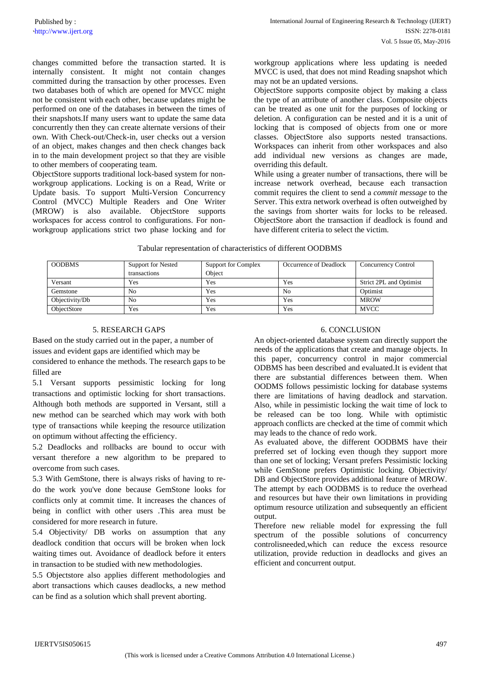changes committed before the transaction started. It is internally consistent. It might not contain changes committed during the transaction by other processes. Even two databases both of which are opened for MVCC might not be consistent with each other, because updates might be performed on one of the databases in between the times of their snapshots.If many users want to update the same data concurrently then they can create alternate versions of their own. With Check-out/Check-in, user checks out a version of an object, makes changes and then check changes back in to the main development project so that they are visible to other members of cooperating team.

ObjectStore supports traditional lock-based system for nonworkgroup applications. Locking is on a Read, Write or Update basis. To support Multi-Version Concurrency Control (MVCC) Multiple Readers and One Writer (MROW) is also available. ObjectStore supports workspaces for access control to configurations. For nonworkgroup applications strict two phase locking and for workgroup applications where less updating is needed MVCC is used, that does not mind Reading snapshot which may not be an updated versions.

ObjectStore supports composite object by making a class the type of an attribute of another class. Composite objects can be treated as one unit for the purposes of locking or deletion. A configuration can be nested and it is a unit of locking that is composed of objects from one or more classes. ObjectStore also supports nested transactions. Workspaces can inherit from other workspaces and also add individual new versions as changes are made, overriding this default.

While using a greater number of transactions, there will be increase network overhead, because each transaction commit requires the client to send a *commit message* to the Server. This extra network overhead is often outweighed by the savings from shorter waits for locks to be released. ObjectStore abort the transaction if deadlock is found and have different criteria to select the victim.

| <b>OODBMS</b>  | <b>Support for Nested</b> | Support for Complex | Occurrence of Deadlock | Concurrency Control     |
|----------------|---------------------------|---------------------|------------------------|-------------------------|
|                | transactions              | Object              |                        |                         |
| Versant        | Yes                       | Yes                 | Yes                    | Strict 2PL and Optimist |
| Gemstone       | No                        | Yes                 | No                     | Optimist                |
| Objectivity/Db | No                        | Yes                 | Yes                    | <b>MROW</b>             |
| ObjectStore    | Yes                       | Yes                 | Yes                    | <b>MVCC</b>             |

## Tabular representation of characteristics of different OODBMS

## 5. RESEARCH GAPS

Based on the study carried out in the paper, a number of issues and evident gaps are identified which may be considered to enhance the methods. The research gaps to be

filled are

5.1 Versant supports pessimistic locking for long transactions and optimistic locking for short transactions. Although both methods are supported in Versant, still a new method can be searched which may work with both type of transactions while keeping the resource utilization on optimum without affecting the efficiency.

5.2 Deadlocks and rollbacks are bound to occur with versant therefore a new algorithm to be prepared to overcome from such cases.

5.3 With GemStone, there is always risks of having to redo the work you've done because GemStone looks for conflicts only at commit time. It increases the chances of being in conflict with other users .This area must be considered for more research in future.

5.4 Objectivity/ DB works on assumption that any deadlock condition that occurs will be broken when lock waiting times out. Avoidance of deadlock before it enters in transaction to be studied with new methodologies.

5.5 Objectstore also applies different methodologies and abort transactions which causes deadlocks, a new method can be find as a solution which shall prevent aborting.

## 6. CONCLUSION

An object-oriented database system can directly support the needs of the applications that create and manage objects. In this paper, concurrency control in major commercial ODBMS has been described and evaluated.It is evident that there are substantial differences between them. When OODMS follows pessimistic locking for database systems there are limitations of having deadlock and starvation. Also, while in pessimistic locking the wait time of lock to be released can be too long. While with optimistic approach conflicts are checked at the time of commit which may leads to the chance of redo work.

As evaluated above, the different OODBMS have their preferred set of locking even though they support more than one set of locking; Versant prefers Pessimistic locking while GemStone prefers Optimistic locking. Objectivity/ DB and ObjectStore provides additional feature of MROW. The attempt by each OODBMS is to reduce the overhead and resources but have their own limitations in providing optimum resource utilization and subsequently an efficient output.

Therefore new reliable model for expressing the full spectrum of the possible solutions of concurrency controlisneeded,which can reduce the excess resource utilization, provide reduction in deadlocks and gives an efficient and concurrent output.